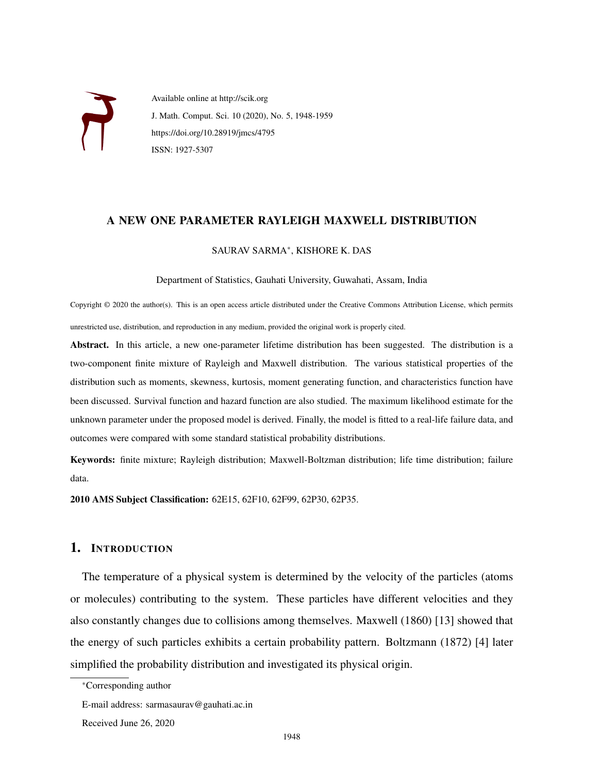

Available online at http://scik.org J. Math. Comput. Sci. 10 (2020), No. 5, 1948-1959 https://doi.org/10.28919/jmcs/4795 ISSN: 1927-5307

### A NEW ONE PARAMETER RAYLEIGH MAXWELL DISTRIBUTION

## SAURAV SARMA<sup>∗</sup> , KISHORE K. DAS

Department of Statistics, Gauhati University, Guwahati, Assam, India

Copyright © 2020 the author(s). This is an open access article distributed under the Creative Commons Attribution License, which permits unrestricted use, distribution, and reproduction in any medium, provided the original work is properly cited.

Abstract. In this article, a new one-parameter lifetime distribution has been suggested. The distribution is a two-component finite mixture of Rayleigh and Maxwell distribution. The various statistical properties of the distribution such as moments, skewness, kurtosis, moment generating function, and characteristics function have been discussed. Survival function and hazard function are also studied. The maximum likelihood estimate for the unknown parameter under the proposed model is derived. Finally, the model is fitted to a real-life failure data, and outcomes were compared with some standard statistical probability distributions.

Keywords: finite mixture; Rayleigh distribution; Maxwell-Boltzman distribution; life time distribution; failure data.

2010 AMS Subject Classification: 62E15, 62F10, 62F99, 62P30, 62P35.

## 1. INTRODUCTION

The temperature of a physical system is determined by the velocity of the particles (atoms or molecules) contributing to the system. These particles have different velocities and they also constantly changes due to collisions among themselves. Maxwell (1860) [13] showed that the energy of such particles exhibits a certain probability pattern. Boltzmann (1872) [4] later simplified the probability distribution and investigated its physical origin.

<sup>∗</sup>Corresponding author

E-mail address: sarmasaurav@gauhati.ac.in

Received June 26, 2020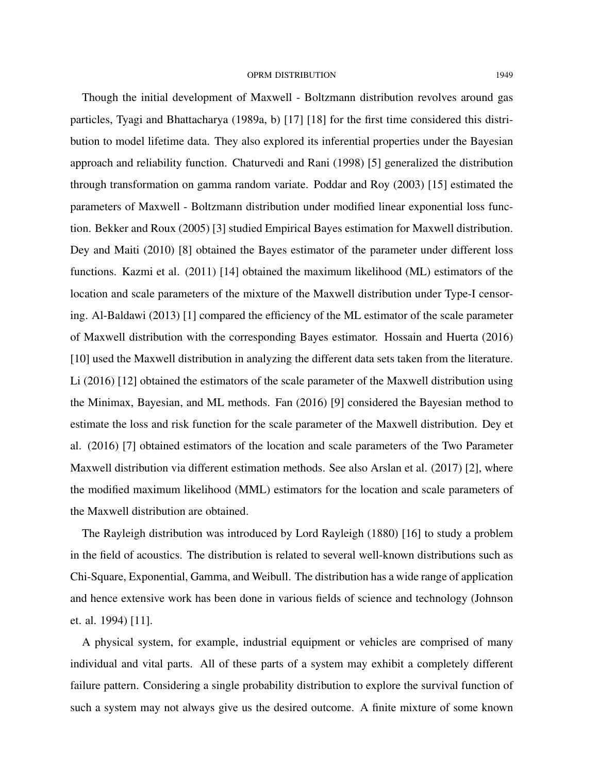#### OPRM DISTRIBUTION 1949

Though the initial development of Maxwell - Boltzmann distribution revolves around gas particles, Tyagi and Bhattacharya (1989a, b) [17] [18] for the first time considered this distribution to model lifetime data. They also explored its inferential properties under the Bayesian approach and reliability function. Chaturvedi and Rani (1998) [5] generalized the distribution through transformation on gamma random variate. Poddar and Roy (2003) [15] estimated the parameters of Maxwell - Boltzmann distribution under modified linear exponential loss function. Bekker and Roux (2005) [3] studied Empirical Bayes estimation for Maxwell distribution. Dey and Maiti (2010) [8] obtained the Bayes estimator of the parameter under different loss functions. Kazmi et al. (2011) [14] obtained the maximum likelihood (ML) estimators of the location and scale parameters of the mixture of the Maxwell distribution under Type-I censoring. Al-Baldawi (2013) [1] compared the efficiency of the ML estimator of the scale parameter of Maxwell distribution with the corresponding Bayes estimator. Hossain and Huerta (2016) [10] used the Maxwell distribution in analyzing the different data sets taken from the literature. Li (2016) [12] obtained the estimators of the scale parameter of the Maxwell distribution using the Minimax, Bayesian, and ML methods. Fan (2016) [9] considered the Bayesian method to estimate the loss and risk function for the scale parameter of the Maxwell distribution. Dey et al. (2016) [7] obtained estimators of the location and scale parameters of the Two Parameter Maxwell distribution via different estimation methods. See also Arslan et al. (2017) [2], where the modified maximum likelihood (MML) estimators for the location and scale parameters of the Maxwell distribution are obtained.

The Rayleigh distribution was introduced by Lord Rayleigh (1880) [16] to study a problem in the field of acoustics. The distribution is related to several well-known distributions such as Chi-Square, Exponential, Gamma, and Weibull. The distribution has a wide range of application and hence extensive work has been done in various fields of science and technology (Johnson et. al. 1994) [11].

A physical system, for example, industrial equipment or vehicles are comprised of many individual and vital parts. All of these parts of a system may exhibit a completely different failure pattern. Considering a single probability distribution to explore the survival function of such a system may not always give us the desired outcome. A finite mixture of some known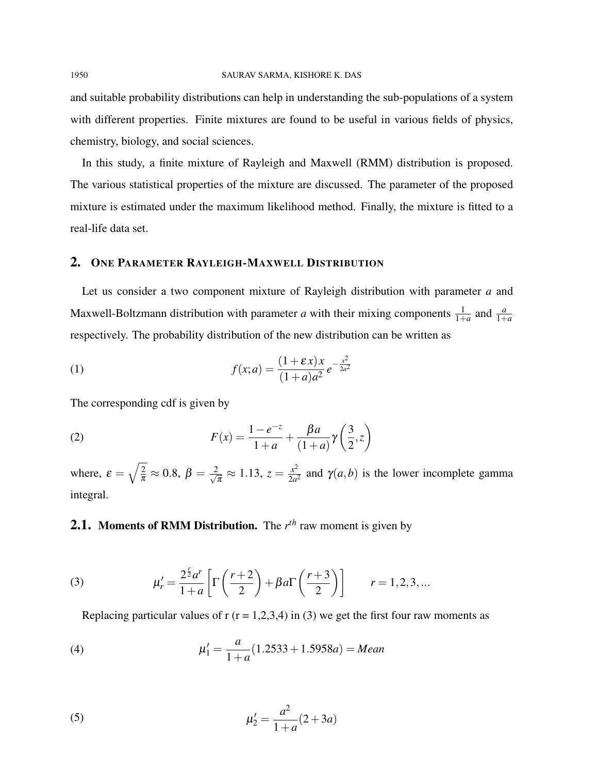and suitable probability distributions can help in understanding the sub-populations of a system with different properties. Finite mixtures are found to be useful in various fields of physics, chemistry, biology, and social sciences.

In this study, a finite mixture of Rayleigh and Maxwell (RMM) distribution is proposed. The various statistical properties of the mixture are discussed. The parameter of the proposed mixture is estimated under the maximum likelihood method. Finally, the mixture is fitted to a real-life data set.

## 2. ONE PARAMETER RAYLEIGH-MAXWELL DISTRIBUTION

Let us consider a two component mixture of Rayleigh distribution with parameter *a* and Maxwell-Boltzmann distribution with parameter *a* with their mixing components  $\frac{1}{1+a}$  and  $\frac{a}{1+a}$ respectively. The probability distribution of the new distribution can be written as

(1) 
$$
f(x;a) = \frac{(1+\varepsilon x)x}{(1+a)a^2}e^{-\frac{x^2}{2a^2}}
$$

The corresponding cdf is given by

(2) 
$$
F(x) = \frac{1 - e^{-z}}{1 + a} + \frac{\beta a}{(1 + a)} \gamma \left(\frac{3}{2}, z\right)
$$

where,  $\varepsilon = \sqrt{\frac{2}{\pi}}$  $\frac{2}{\pi} \approx 0.8,\, \beta = \frac{2}{\sqrt{2}}$  $\frac{d}{d\pi} \approx 1.13, z = \frac{x^2}{2a^2}$  $\frac{x^2}{2a^2}$  and  $\gamma(a,b)$  is the lower incomplete gamma integral.

# 2.1. Moments of RMM Distribution. The *r*<sup>th</sup> raw moment is given by

(3) 
$$
\mu'_{r} = \frac{2^{\frac{r}{2}} a^{r}}{1+a} \left[ \Gamma\left(\frac{r+2}{2}\right) + \beta a \Gamma\left(\frac{r+3}{2}\right) \right] \qquad r = 1, 2, 3, ...
$$

Replacing particular values of r  $(r = 1,2,3,4)$  in (3) we get the first four raw moments as

(4) 
$$
\mu'_1 = \frac{a}{1+a}(1.2533 + 1.5958a) = Mean
$$

(5) 
$$
\mu_2' = \frac{a^2}{1+a}(2+3a)
$$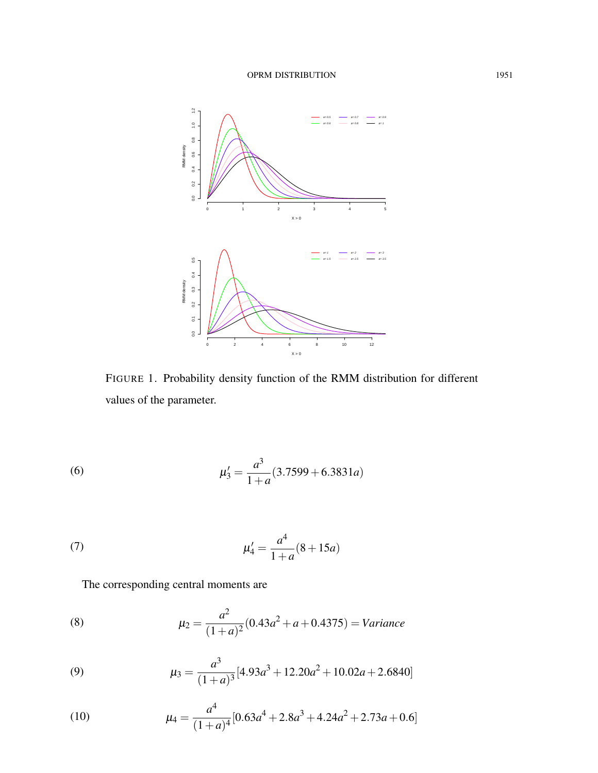

FIGURE 1. Probability density function of the RMM distribution for different values of the parameter.

(6) 
$$
\mu_3' = \frac{a^3}{1+a}(3.7599 + 6.3831a)
$$

(7) 
$$
\mu_4' = \frac{a^4}{1+a}(8+15a)
$$

The corresponding central moments are

(8) 
$$
\mu_2 = \frac{a^2}{(1+a)^2} (0.43a^2 + a + 0.4375) = \text{Variance}
$$

(9) 
$$
\mu_3 = \frac{a^3}{(1+a)^3} [4.93a^3 + 12.20a^2 + 10.02a + 2.6840]
$$

(10) 
$$
\mu_4 = \frac{a^4}{(1+a)^4} [0.63a^4 + 2.8a^3 + 4.24a^2 + 2.73a + 0.6]
$$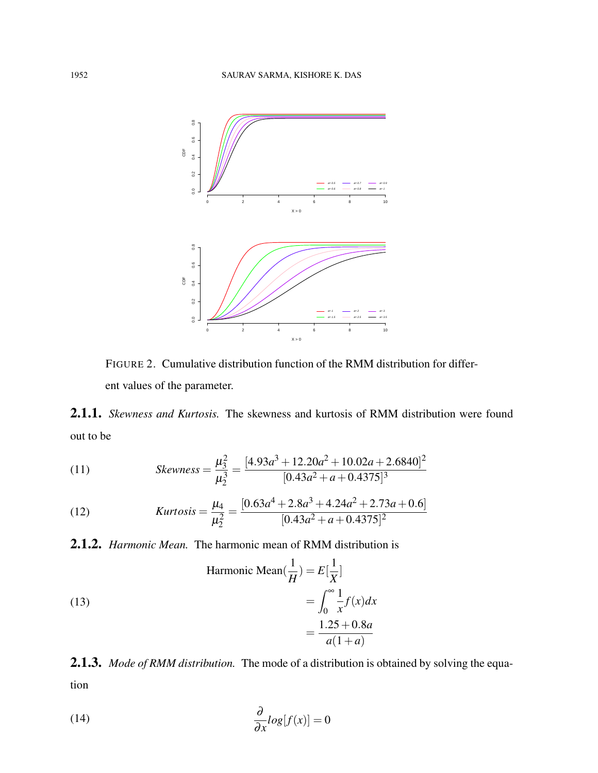

FIGURE 2. Cumulative distribution function of the RMM distribution for different values of the parameter.

2.1.1. *Skewness and Kurtosis.* The skewness and kurtosis of RMM distribution were found out to be

(11) 
$$
Skewness = \frac{\mu_3^2}{\mu_2^3} = \frac{[4.93a^3 + 12.20a^2 + 10.02a + 2.6840]^2}{[0.43a^2 + a + 0.4375]^3}
$$

(12) 
$$
Kurtosis = \frac{\mu_4}{\mu_2^2} = \frac{[0.63a^4 + 2.8a^3 + 4.24a^2 + 2.73a + 0.6]}{[0.43a^2 + a + 0.4375]^2}
$$

2.1.2. *Harmonic Mean.* The harmonic mean of RMM distribution is

(13)  
\nHarmonic Mean
$$
(\frac{1}{H}) = E[\frac{1}{X}]
$$
  
\n
$$
= \int_0^\infty \frac{1}{x} f(x) dx
$$
\n
$$
= \frac{1.25 + 0.8a}{a(1+a)}
$$

2.1.3. *Mode of RMM distribution.* The mode of a distribution is obtained by solving the equation

(14) 
$$
\frac{\partial}{\partial x}log[f(x)] = 0
$$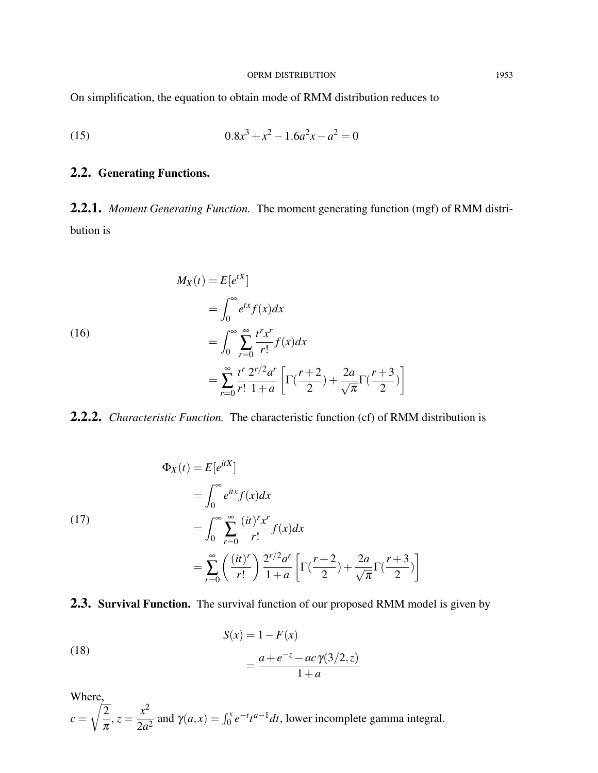### OPRM DISTRIBUTION 1953

On simplification, the equation to obtain mode of RMM distribution reduces to

(15) 
$$
0.8x^3 + x^2 - 1.6a^2x - a^2 = 0
$$

# 2.2. Generating Functions.

2.2.1. *Moment Generating Function.* The moment generating function (mgf) of RMM distribution is

(16)  
\n
$$
M_X(t) = E[e^{tX}]
$$
\n
$$
= \int_0^\infty e^{tx} f(x) dx
$$
\n
$$
= \int_0^\infty \sum_{r=0}^\infty \frac{t^r x^r}{r!} f(x) dx
$$
\n
$$
= \sum_{r=0}^\infty \frac{t^r 2^{r/2} a^r}{r!} \left[ \Gamma\left(\frac{r+2}{2}\right) + \frac{2a}{\sqrt{\pi}} \Gamma\left(\frac{r+3}{2}\right) \right]
$$

2.2.2. *Characteristic Function.* The characteristic function (cf) of RMM distribution is

(17)  
\n
$$
\Phi_X(t) = E[e^{itX}]
$$
\n
$$
= \int_0^\infty e^{itx} f(x) dx
$$
\n
$$
= \int_0^\infty \sum_{r=0}^\infty \frac{(it)^r x^r}{r!} f(x) dx
$$
\n
$$
= \sum_{r=0}^\infty \left(\frac{(it)^r}{r!}\right) \frac{2^{r/2} a^r}{1+a} \left[\Gamma\left(\frac{r+2}{2}\right) + \frac{2a}{\sqrt{\pi}} \Gamma\left(\frac{r+3}{2}\right)\right]
$$

# 2.3. Survival Function. The survival function of our proposed RMM model is given by

(18)  

$$
S(x) = 1 - F(x)
$$

$$
= \frac{a + e^{-z} - ac \gamma(3/2, z)}{1 + a}
$$

Where,

where,  

$$
c = \sqrt{\frac{2}{\pi}}, z = \frac{x^2}{2a^2}
$$
 and  $\gamma(a, x) = \int_0^x e^{-t} t^{a-1} dt$ , lower incomplete gamma integral.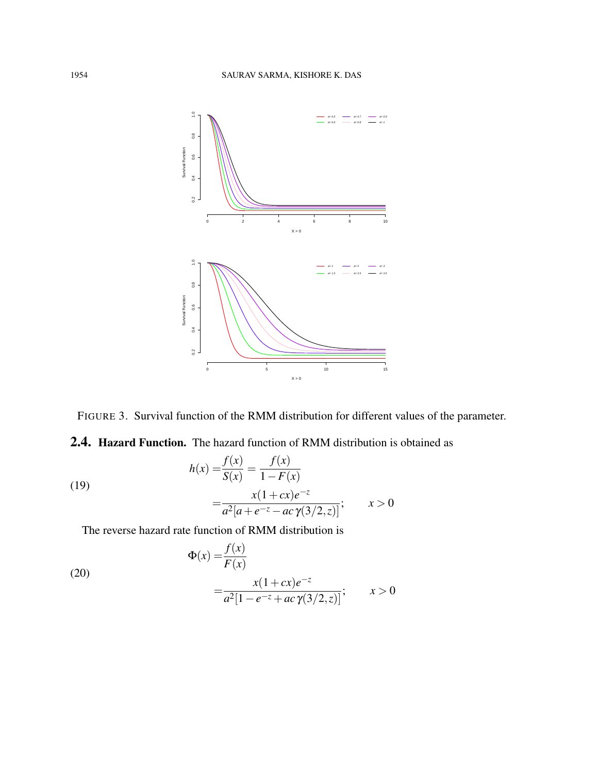



2.4. Hazard Function. The hazard function of RMM distribution is obtained as

(19)  

$$
h(x) = \frac{f(x)}{S(x)} = \frac{f(x)}{1 - F(x)}
$$

$$
= \frac{x(1 + cx)e^{-z}}{a^2[a + e^{-z} - ac\gamma(3/2, z)]}; \qquad x > 0
$$

The reverse hazard rate function of RMM distribution is

(20)  
\n
$$
\Phi(x) = \frac{f(x)}{F(x)}
$$
\n
$$
= \frac{x(1+cx)e^{-z}}{a^2[1-e^{-z}+ac\,\gamma(3/2,z)]}; \qquad x > 0
$$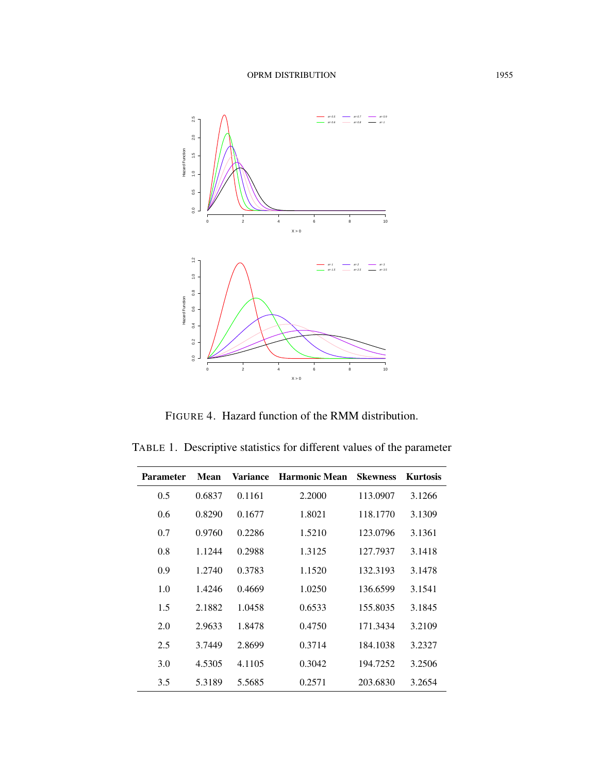

FIGURE 4. Hazard function of the RMM distribution.

TABLE 1. Descriptive statistics for different values of the parameter

| <b>Parameter</b> | <b>Mean</b> | <b>Variance</b> | <b>Harmonic Mean</b> | <b>Skewness</b> | <b>Kurtosis</b> |
|------------------|-------------|-----------------|----------------------|-----------------|-----------------|
| 0.5              | 0.6837      | 0.1161          | 2.2000               | 113.0907        | 3.1266          |
| 0.6              | 0.8290      | 0.1677          | 1.8021               | 118.1770        | 3.1309          |
| 0.7              | 0.9760      | 0.2286          | 1.5210               | 123.0796        | 3.1361          |
| 0.8              | 1.1244      | 0.2988          | 1.3125               | 127.7937        | 3.1418          |
| 0.9              | 1.2740      | 0.3783          | 1.1520               | 132.3193        | 3.1478          |
| 1.0              | 1.4246      | 0.4669          | 1.0250               | 136.6599        | 3.1541          |
| 1.5              | 2.1882      | 1.0458          | 0.6533               | 155.8035        | 3.1845          |
| 2.0              | 2.9633      | 1.8478          | 0.4750               | 171.3434        | 3.2109          |
| 2.5              | 3.7449      | 2.8699          | 0.3714               | 184.1038        | 3.2327          |
| 3.0              | 4.5305      | 4.1105          | 0.3042               | 194.7252        | 3.2506          |
| 3.5              | 5.3189      | 5.5685          | 0.2571               | 203.6830        | 3.2654          |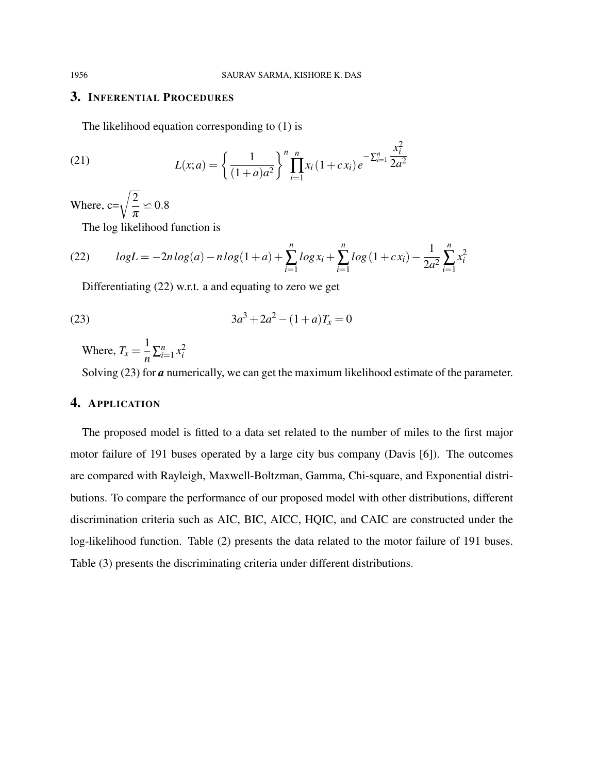$\mathcal{L}$ 

## 3. INFERENTIAL PROCEDURES

The likelihood equation corresponding to (1) is

(21) 
$$
L(x;a) = \left\{ \frac{1}{(1+a)a^2} \right\}^n \prod_{i=1}^n x_i (1+cx_i) e^{-\sum_{i=1}^n \frac{x_i^2}{2a^2}}
$$

Where,  $c=\sqrt{\frac{2}{2}}$  $\pi$  $\simeq 0.8$ 

The log likelihood function is

(22) 
$$
logL = -2nlog(a) - nlog(1+a) + \sum_{i=1}^{n} log x_i + \sum_{i=1}^{n} log (1 + cx_i) - \frac{1}{2a^2} \sum_{i=1}^{n} x_i^2
$$

Differentiating (22) w.r.t. a and equating to zero we get

(23) 
$$
3a^3 + 2a^2 - (1+a)T_x = 0
$$

Where,  $T_x = \frac{1}{x}$  $\frac{1}{n} \sum_{i=1}^{n} x_i^2$ 

Solving (23) for *a* numerically, we can get the maximum likelihood estimate of the parameter.

# 4. APPLICATION

The proposed model is fitted to a data set related to the number of miles to the first major motor failure of 191 buses operated by a large city bus company (Davis [6]). The outcomes are compared with Rayleigh, Maxwell-Boltzman, Gamma, Chi-square, and Exponential distributions. To compare the performance of our proposed model with other distributions, different discrimination criteria such as AIC, BIC, AICC, HQIC, and CAIC are constructed under the log-likelihood function. Table (2) presents the data related to the motor failure of 191 buses. Table (3) presents the discriminating criteria under different distributions.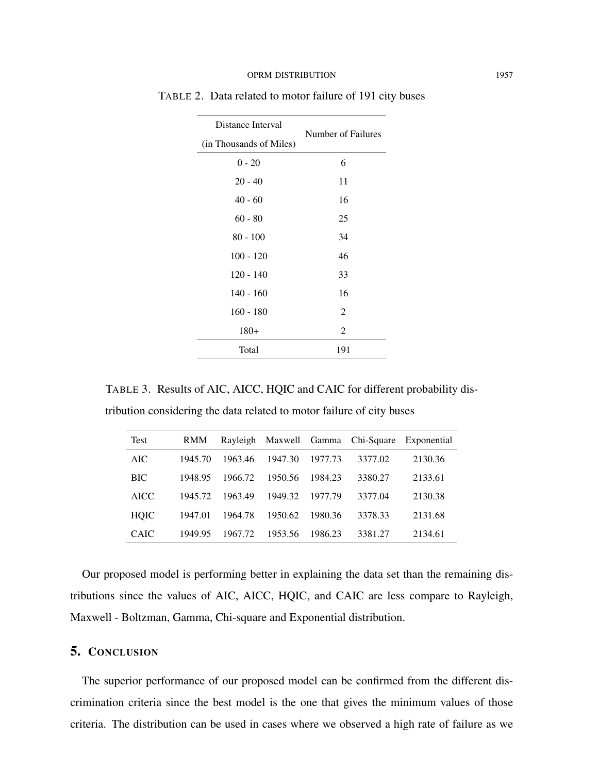| Distance Interval       | Number of Failures |  |
|-------------------------|--------------------|--|
| (in Thousands of Miles) |                    |  |
| $0 - 20$                | 6                  |  |
| $20 - 40$               | 11                 |  |
| $40 - 60$               | 16                 |  |
| $60 - 80$               | 25                 |  |
| $80 - 100$              | 34                 |  |
| $100 - 120$             | 46                 |  |
| $120 - 140$             | 33                 |  |
| $140 - 160$             | 16                 |  |
| $160 - 180$             | $\overline{c}$     |  |
| $180+$                  | $\overline{2}$     |  |
| Total                   | 191                |  |

TABLE 2. Data related to motor failure of 191 city buses

TABLE 3. Results of AIC, AICC, HQIC and CAIC for different probability distribution considering the data related to motor failure of city buses

| Test        | <b>RMM</b> |         |         |         |         | Rayleigh Maxwell Gamma Chi-Square Exponential |
|-------------|------------|---------|---------|---------|---------|-----------------------------------------------|
| AIC.        | 1945.70    | 1963.46 | 1947.30 | 1977.73 | 3377.02 | 2130.36                                       |
| <b>BIC</b>  | 1948.95    | 1966.72 | 1950.56 | 1984.23 | 3380.27 | 2133.61                                       |
| <b>AICC</b> | 1945.72    | 1963.49 | 1949.32 | 1977.79 | 3377.04 | 2130.38                                       |
| <b>HQIC</b> | 1947.01    | 1964.78 | 1950.62 | 1980.36 | 3378.33 | 2131.68                                       |
| <b>CAIC</b> | 1949.95    | 1967.72 | 1953.56 | 1986.23 | 3381.27 | 2134.61                                       |

Our proposed model is performing better in explaining the data set than the remaining distributions since the values of AIC, AICC, HQIC, and CAIC are less compare to Rayleigh, Maxwell - Boltzman, Gamma, Chi-square and Exponential distribution.

## 5. CONCLUSION

The superior performance of our proposed model can be confirmed from the different discrimination criteria since the best model is the one that gives the minimum values of those criteria. The distribution can be used in cases where we observed a high rate of failure as we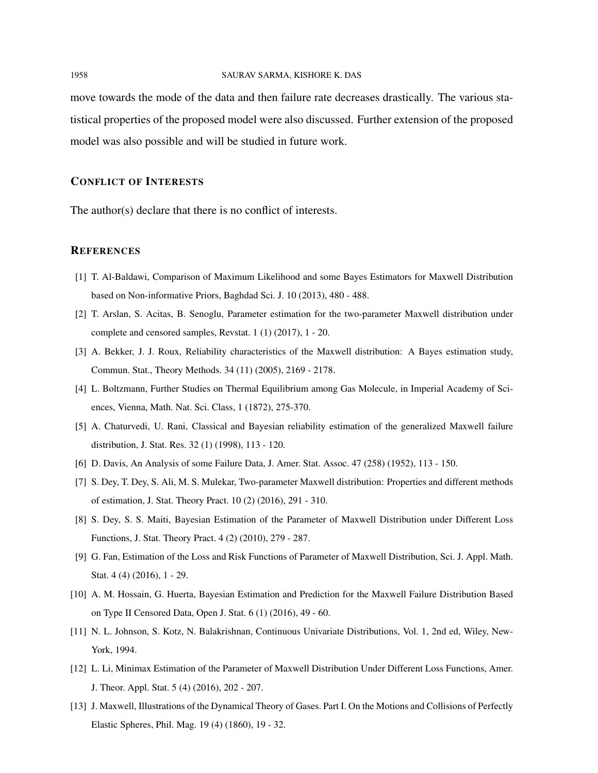move towards the mode of the data and then failure rate decreases drastically. The various statistical properties of the proposed model were also discussed. Further extension of the proposed model was also possible and will be studied in future work.

### CONFLICT OF INTERESTS

The author(s) declare that there is no conflict of interests.

#### **REFERENCES**

- [1] T. Al-Baldawi, Comparison of Maximum Likelihood and some Bayes Estimators for Maxwell Distribution based on Non-informative Priors, Baghdad Sci. J. 10 (2013), 480 - 488.
- [2] T. Arslan, S. Acitas, B. Senoglu, Parameter estimation for the two-parameter Maxwell distribution under complete and censored samples, Revstat. 1 (1) (2017), 1 - 20.
- [3] A. Bekker, J. J. Roux, Reliability characteristics of the Maxwell distribution: A Bayes estimation study, Commun. Stat., Theory Methods. 34 (11) (2005), 2169 - 2178.
- [4] L. Boltzmann, Further Studies on Thermal Equilibrium among Gas Molecule, in Imperial Academy of Sciences, Vienna, Math. Nat. Sci. Class, 1 (1872), 275-370.
- [5] A. Chaturvedi, U. Rani, Classical and Bayesian reliability estimation of the generalized Maxwell failure distribution, J. Stat. Res. 32 (1) (1998), 113 - 120.
- [6] D. Davis, An Analysis of some Failure Data, J. Amer. Stat. Assoc. 47 (258) (1952), 113 150.
- [7] S. Dey, T. Dey, S. Ali, M. S. Mulekar, Two-parameter Maxwell distribution: Properties and different methods of estimation, J. Stat. Theory Pract. 10 (2) (2016), 291 - 310.
- [8] S. Dey, S. S. Maiti, Bayesian Estimation of the Parameter of Maxwell Distribution under Different Loss Functions, J. Stat. Theory Pract. 4 (2) (2010), 279 - 287.
- [9] G. Fan, Estimation of the Loss and Risk Functions of Parameter of Maxwell Distribution, Sci. J. Appl. Math. Stat. 4 (4) (2016), 1 - 29.
- [10] A. M. Hossain, G. Huerta, Bayesian Estimation and Prediction for the Maxwell Failure Distribution Based on Type II Censored Data, Open J. Stat. 6 (1) (2016), 49 - 60.
- [11] N. L. Johnson, S. Kotz, N. Balakrishnan, Continuous Univariate Distributions, Vol. 1, 2nd ed, Wiley, New-York, 1994.
- [12] L. Li, Minimax Estimation of the Parameter of Maxwell Distribution Under Different Loss Functions, Amer. J. Theor. Appl. Stat. 5 (4) (2016), 202 - 207.
- [13] J. Maxwell, Illustrations of the Dynamical Theory of Gases. Part I. On the Motions and Collisions of Perfectly Elastic Spheres, Phil. Mag. 19 (4) (1860), 19 - 32.